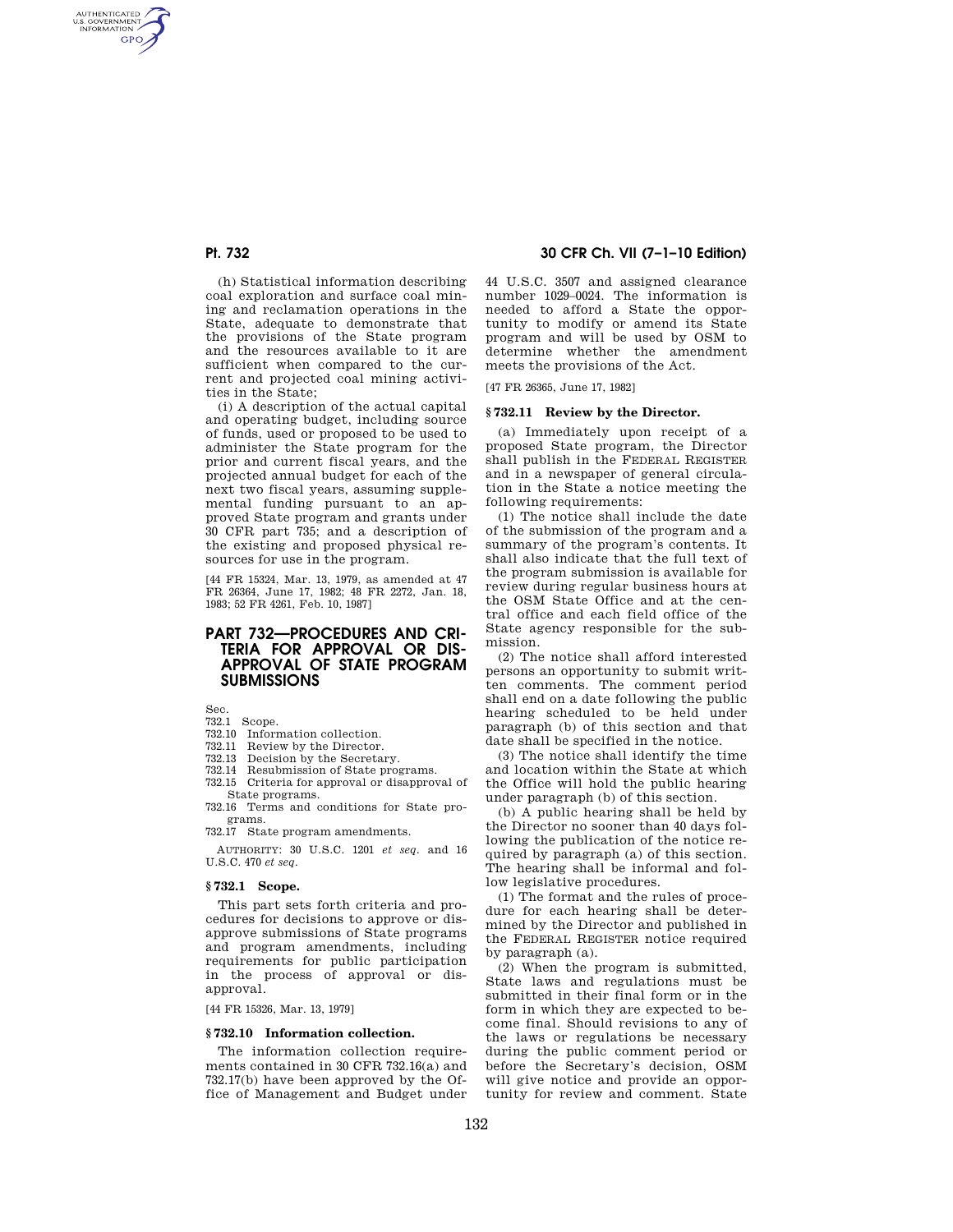AUTHENTICATED<br>U.S. GOVERNMENT<br>INFORMATION **GPO** 

> (h) Statistical information describing coal exploration and surface coal mining and reclamation operations in the State, adequate to demonstrate that the provisions of the State program and the resources available to it are sufficient when compared to the current and projected coal mining activities in the State;

> (i) A description of the actual capital and operating budget, including source of funds, used or proposed to be used to administer the State program for the prior and current fiscal years, and the projected annual budget for each of the next two fiscal years, assuming supplemental funding pursuant to an approved State program and grants under 30 CFR part 735; and a description of the existing and proposed physical resources for use in the program.

> [44 FR 15324, Mar. 13, 1979, as amended at 47 FR 26364, June 17, 1982; 48 FR 2272, Jan. 18, 1983; 52 FR 4261, Feb. 10, 1987]

# **PART 732—PROCEDURES AND CRI-TERIA FOR APPROVAL OR DIS-APPROVAL OF STATE PROGRAM SUBMISSIONS**

Sec.

- 732.1 Scope.
- 732.10 Information collection.
- 732.11 Review by the Director.
- 732.13 Decision by the Secretary.
- 732.14 Resubmission of State programs.
- 732.15 Criteria for approval or disapproval of State programs.
- 732.16 Terms and conditions for State programs.
- 732.17 State program amendments.

AUTHORITY: 30 U.S.C. 1201 *et seq.* and 16 U.S.C. 470 *et seq*.

# **§ 732.1 Scope.**

This part sets forth criteria and procedures for decisions to approve or disapprove submissions of State programs and program amendments, including requirements for public participation in the process of approval or disapproval.

[44 FR 15326, Mar. 13, 1979]

### **§ 732.10 Information collection.**

The information collection requirements contained in 30 CFR 732.16(a) and 732.17(b) have been approved by the Office of Management and Budget under

# **Pt. 732 30 CFR Ch. VII (7–1–10 Edition)**

44 U.S.C. 3507 and assigned clearance number 1029–0024. The information is needed to afford a State the opportunity to modify or amend its State program and will be used by OSM to determine whether the amendment meets the provisions of the Act.

[47 FR 26365, June 17, 1982]

#### **§ 732.11 Review by the Director.**

(a) Immediately upon receipt of a proposed State program, the Director shall publish in the FEDERAL REGISTER and in a newspaper of general circulation in the State a notice meeting the following requirements:

(1) The notice shall include the date of the submission of the program and a summary of the program's contents. It shall also indicate that the full text of the program submission is available for review during regular business hours at the OSM State Office and at the central office and each field office of the State agency responsible for the submission.

(2) The notice shall afford interested persons an opportunity to submit written comments. The comment period shall end on a date following the public hearing scheduled to be held under paragraph (b) of this section and that date shall be specified in the notice.

(3) The notice shall identify the time and location within the State at which the Office will hold the public hearing under paragraph (b) of this section.

(b) A public hearing shall be held by the Director no sooner than 40 days following the publication of the notice required by paragraph (a) of this section. The hearing shall be informal and follow legislative procedures.

(1) The format and the rules of procedure for each hearing shall be determined by the Director and published in the FEDERAL REGISTER notice required by paragraph (a).

(2) When the program is submitted, State laws and regulations must be submitted in their final form or in the form in which they are expected to become final. Should revisions to any of the laws or regulations be necessary during the public comment period or before the Secretary's decision, OSM will give notice and provide an opportunity for review and comment. State